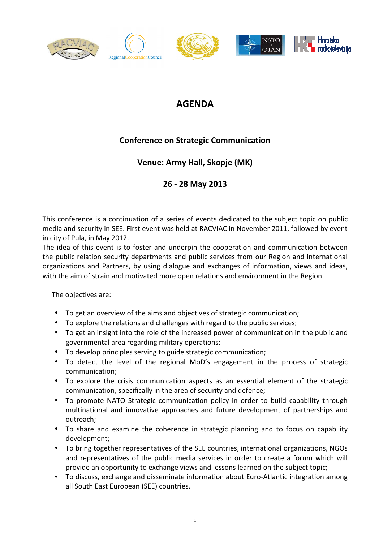

# AGENDA

# Conference on Strategic Communication

## Venue: Army Hall, Skopje (MK)

### 26 - 28 May 2013

This conference is a continuation of a series of events dedicated to the subject topic on public media and security in SEE. First event was held at RACVIAC in November 2011, followed by event in city of Pula, in May 2012.

The idea of this event is to foster and underpin the cooperation and communication between the public relation security departments and public services from our Region and international organizations and Partners, by using dialogue and exchanges of information, views and ideas, with the aim of strain and motivated more open relations and environment in the Region.

The objectives are:

- To get an overview of the aims and objectives of strategic communication;
- To explore the relations and challenges with regard to the public services;
- To get an insight into the role of the increased power of communication in the public and governmental area regarding military operations;
- To develop principles serving to guide strategic communication;
- To detect the level of the regional MoD's engagement in the process of strategic communication;
- To explore the crisis communication aspects as an essential element of the strategic communication, specifically in the area of security and defence;
- To promote NATO Strategic communication policy in order to build capability through multinational and innovative approaches and future development of partnerships and outreach;
- To share and examine the coherence in strategic planning and to focus on capability development;
- To bring together representatives of the SEE countries, international organizations, NGOs and representatives of the public media services in order to create a forum which will provide an opportunity to exchange views and lessons learned on the subject topic;
- To discuss, exchange and disseminate information about Euro-Atlantic integration among all South East European (SEE) countries.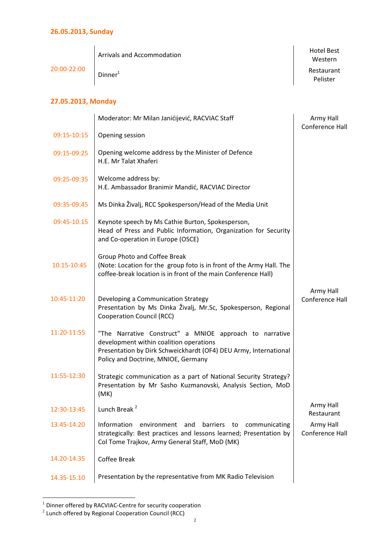| 20:00-22:00        | <b>Arrivals and Accommodation</b> | <b>Hotel Best</b><br>Western |
|--------------------|-----------------------------------|------------------------------|
|                    | Dinner <sup>1</sup>               | Restaurant<br>Pelister       |
| 27.05.2013, Monday |                                   |                              |

#### 09:15-10:15 09:15-09:25 09:25-09:35 09:35-09:45 Opening session Opening welcome address by the Minister of Defence H.E. Mr Talat Xhaferi Welcome address by: H.E. Ambassador Branimir Mandić, RACVIAC Director Ms Dinka Živalj, RCC Spokesperson/Head of the Media Unit 09:45-10.15 | Keynote speech by Ms Cathie Burton, Spokesperson, Head of Press and Public Information, Organization for Security and Co-operation in Europe (OSCE) 10.15-10:45 Group Photo and Coffee Break (Note: Location for the group foto is in front of the Army Hall. The coffee-break location is in front of the main Conference Hall) 10:45-11:20 11:20-11:55 11:55-12:30 Developing a Communication Strategy Presentation by Ms Dinka Živalj, Mr.Sc, Spokesperson, Regional Cooperation Council (RCC) "The Narrative Construct" a MNIOE approach to narrative development within coalition operations Presentation by Dirk Schweickhardt (OF4) DEU Army, International Policy and Doctrine, MNIOE, Germany Strategic communication as a part of National Security Strategy? Presentation by Mr Sasho Kuzmanovski, Analysis Section, MoD (MK) 12:30-13:45 Lunch Break<sup>2</sup> Army Hall 13.45-14.20 Information environment and barriers to communicating

Moderator: Mr Milan Janićijević, RACVIAC Staff

Army Hall Conference Hall

Restaurant

Army Hall Conference Hall

Army Hall Conference Hall

Coffee Break

14.20-14.35

strategically: Best practices and lessons learned; Presentation by

Col Tome Trajkov, Army General Staff, MoD (MK)

14.35-15.10 Presentation by the representative from MK Radio Television

 $\overline{a}$  $1$  Dinner offered by RACVIAC-Centre for security cooperation

 $2$  Lunch offered by Regional Cooperation Council (RCC)